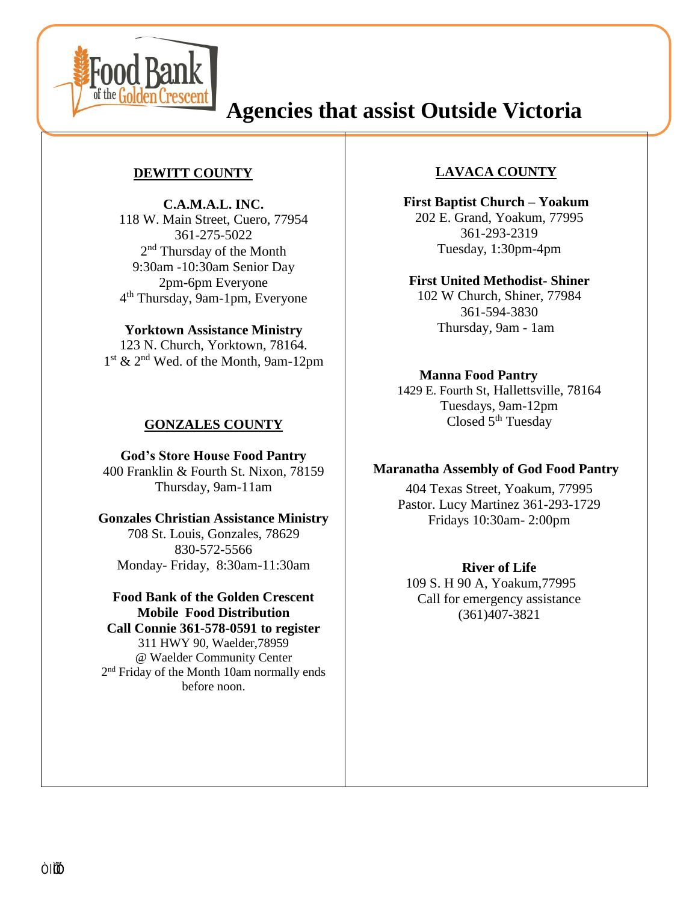

**County** 

# **Agencies that assist Outside Victoria**

## **DEWITT COUNTY**

**C.A.M.A.L. INC.** 118 W. Main Street, Cuero, 77954 361-275-5022 2<sup>nd</sup> Thursday of the Month 9:30am -10:30am Senior Day 2pm-6pm Everyone 4 th Thursday, 9am-1pm, Everyone

#### **Yorktown Assistance Ministry**

123 N. Church, Yorktown, 78164. 1 st & 2nd Wed. of the Month, 9am-12pm

## **GONZALES COUNTY**

**God's Store House Food Pantry** 400 Franklin & Fourth St. Nixon, 78159 Thursday, 9am-11am

# **Gonzales Christian Assistance Ministry**

708 St. Louis, Gonzales, 78629 830-572-5566 Monday- Friday, 8:30am-11:30am

**Food Bank of the Golden Crescent Mobile Food Distribution Call Connie 361-578-0591 to register** 311 HWY 90, Waelder,78959 @ Waelder Community Center 2<sup>nd</sup> Friday of the Month 10am normally ends before noon.

### **LAVACA COUNTY**

**First Baptist Church – Yoakum** 202 E. Grand, Yoakum, 77995 361-293-2319 Tuesday, 1:30pm-4pm

**First United Methodist- Shiner**  102 W Church, Shiner, 77984 361-594-3830 Thursday, 9am - 1am

#### **Manna Food Pantry**

1429 E. Fourth St*,* Hallettsville, 78164 Tuesdays, 9am-12pm Closed 5<sup>th</sup> Tuesday

#### **Maranatha Assembly of God Food Pantry**

404 Texas Street, Yoakum, 77995 Pastor. Lucy Martinez 361-293-1729 Fridays 10:30am- 2:00pm

#### **River of Life**

109 S. H<sub>2</sub>90 A, Yoakum,77995 Call for emergency assistance (361)407-3821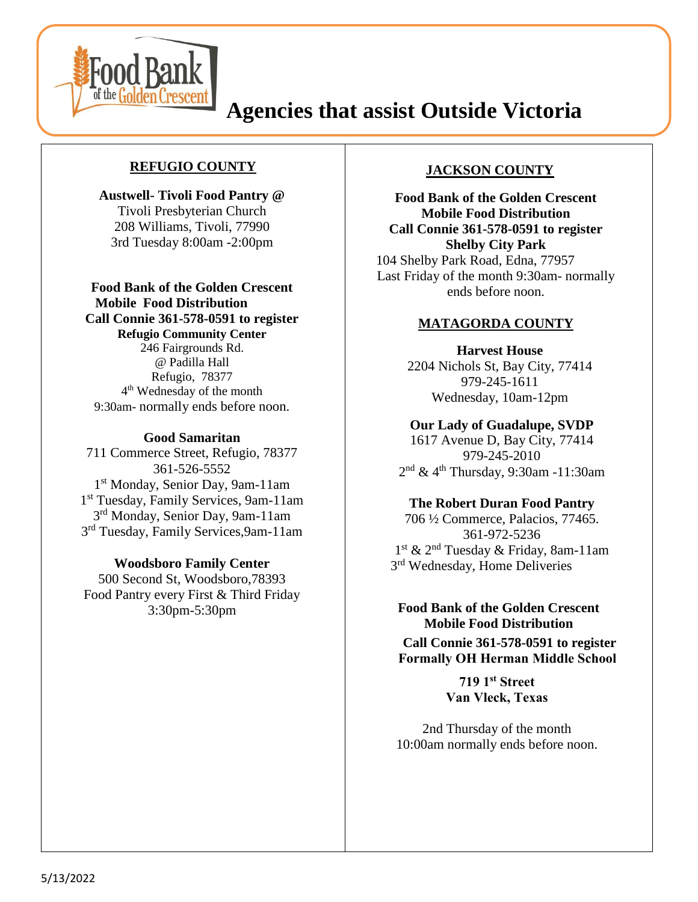

**County** 

# **Agencies that assist Outside Victoria**

# **REFUGIO COUNTY**

**Austwell- Tivoli Food Pantry @** Tivoli Presbyterian Church 208 Williams, Tivoli, 77990 3rd Tuesday 8:00am -2:00pm

**Food Bank of the Golden Crescent Mobile Food Distribution Call Connie 361-578-0591 to register Refugio Community Center** 246 Fairgrounds Rd. @ Padilla Hall Refugio, 78377 4 th Wednesday of the month 9:30am- normally ends before noon.

#### **Good Samaritan**

711 Commerce Street, Refugio, 78377 361-526-5552 1 st Monday, Senior Day, 9am-11am 1 st Tuesday, Family Services, 9am-11am 3<sup>rd</sup> Monday, Senior Day, 9am-11am 3<sup>rd</sup> Tuesday, Family Services, 9am-11am

**Woodsboro Family Center**

500 Second St, Woodsboro,78393 Food Pantry every First & Third Friday 3:30pm-5:30pm

## **JACKSON COUNTY**

**Food Bank of the Golden Crescent Mobile Food Distribution Call Connie 361-578-0591 to register Shelby City Park** 104 Shelby Park Road, Edna, 77957 Last Friday of the month 9:30am- normally ends before noon.

#### **MATAGORDA COUNTY**

**Harvest House** 2204 Nichols St, Bay City, 77414 979-245-1611 Wednesday, 10am-12pm

**Our Lady of Guadalupe, SVDP** 1617 Avenue D, Bay City, 77414 979-245-2010 2<sup>nd</sup> & 4<sup>th</sup> Thursday, 9:30am -11:30am

#### **The Robert Duran Food Pantry**

706 ½ Commerce, Palacios, 77465. 361-972-5236 1 st & 2nd Tuesday & Friday, 8am-11am 3<sup>rd</sup> Wednesday, Home Deliveries

#### **Food Bank of the Golden Crescent Mobile Food Distribution**

**Call Connie 361-578-0591 to register Formally OH Herman Middle School**

> **719 1st Street Van Vleck, Texas**

2nd Thursday of the month 10:00am normally ends before noon.